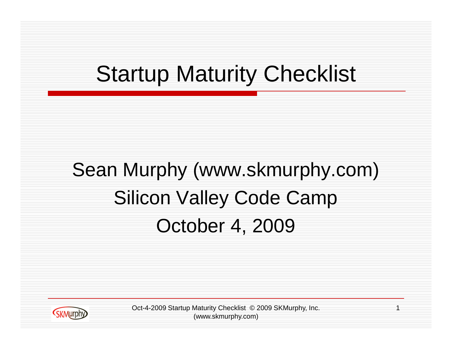### Startup Maturity Checklist

#### Sean Murphy (www.skmurphy.com) Silicon Valley Code Camp October 4, 2009



Oct-4-2009 Startup Maturity Checklist © 2009 SKMurphy, Inc. 1 (www.skmurphy.com)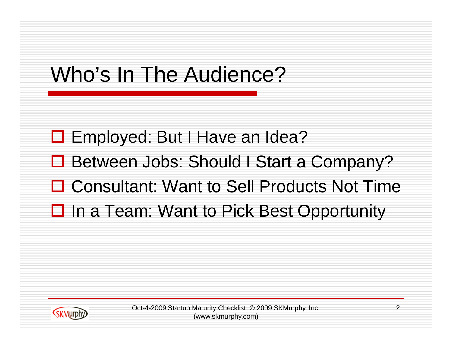## Who's In The Audience?

□ Employed: But I Have an Idea?

- Between Jobs: Should I Start a Company?
- **□ Consultant: Want to Sell Products Not Time**
- **□** In a Team: Want to Pick Best Opportunity



Oct-4-2009 Startup Maturity Checklist © 2009 SKMurphy, Inc. 2 (www.skmurphy.com)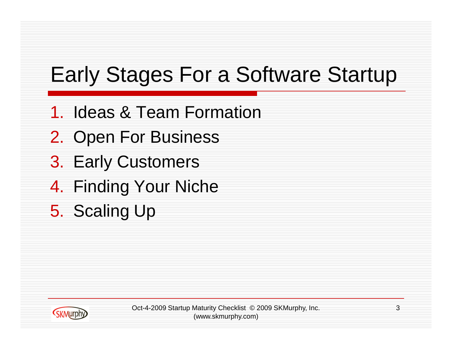## Early Stages For a Software Startup

- 1. Ideas & Team Formation
- 2. Open For Business
- 3. Early Customers
- 4. Finding Your Niche
- 5. Scaling Up



Oct-4-2009 Startup Maturity Checklist © 2009 SKMurphy, Inc. 3 (www.skmurphy.com)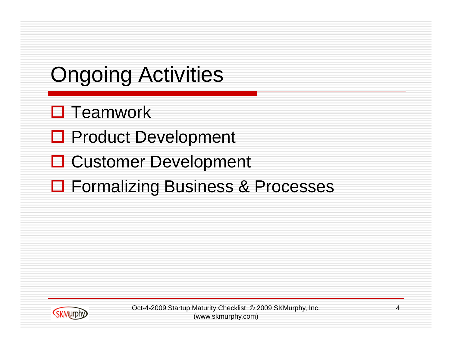## Ongoing Activities

- $\square$  Teamwork
- □ Product Development
- **□ Customer Development**
- **□ Formalizing Business & Processes**



Oct-4-2009 Startup Maturity Checklist © 2009 SKMurphy, Inc. 4 (www.skmurphy.com)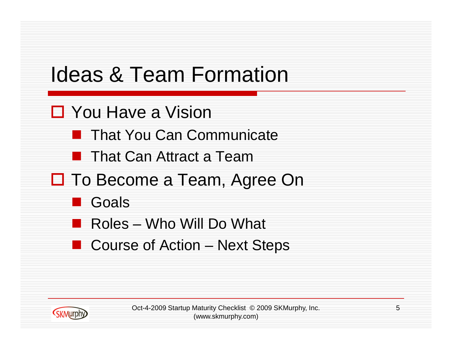

- You Have a Vision
	- That You Can Communicate
	- **That Can Attract a Team**
- □ To Become a Team, Agree On
	- Goals
	- Roles Who Will Do What
	- Course of Action Next Steps



Oct-4-2009 Startup Maturity Checklist © 2009 SKMurphy, Inc. 5 (www.skmurphy.com)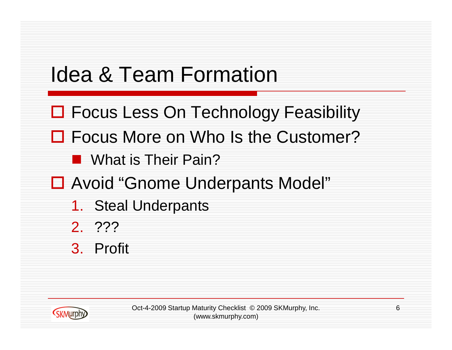#### Idea & Team Formation

- **□ Focus Less On Technology Feasibility**
- □ Focus More on Who Is the Customer?
	- **Not What is Their Pain?**
- □ Avoid "Gnome Underpants Model"
	- 1. Steal Underpants
	- 2. ???
	- 3. Profit



Oct-4-2009 Startup Maturity Checklist © 2009 SKMurphy, Inc. 6 (www.skmurphy.com)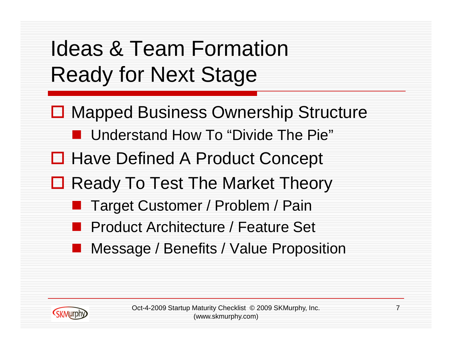#### Ideas & Team Formation Ready for Next Stage

- **□ Mapped Business Ownership Structure** 
	- Understand How To "Divide The Pie"
- **□ Have Defined A Product Concept**
- □ Ready To Test The Market Theory
	- Target Customer / Problem / Pain
	- Product Architecture / Feature Set
	- Message / Benefits / Value Proposition



Oct-4-2009 Startup Maturity Checklist © 2009 SKMurphy, Inc. 7 (www.skmurphy.com)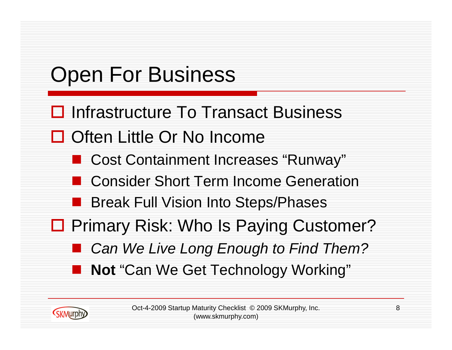

Oct-4-2009 Startup Maturity Checklist © 2009 SKMurphy, Inc. 68 (www.skmurphy.com)

**(SKMurph**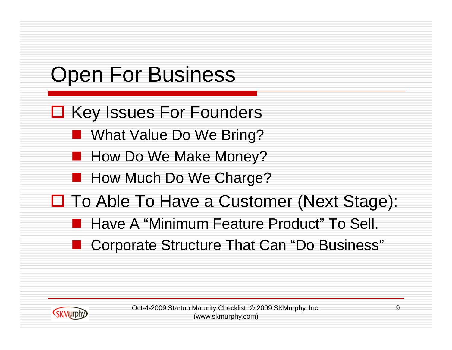# Open For Business

- **□ Key Issues For Founders** 
	- What Value Do We Bring?
	- How Do We Make Money?
	- **How Much Do We Charge?**
- □ To Able To Have a Customer (Next Stage):
	- Have A "Minimum Feature Product" To Sell.
	- Corporate Structure That Can "Do Business"



Oct-4-2009 Startup Maturity Checklist © 2009 SKMurphy, Inc. 9 (www.skmurphy.com)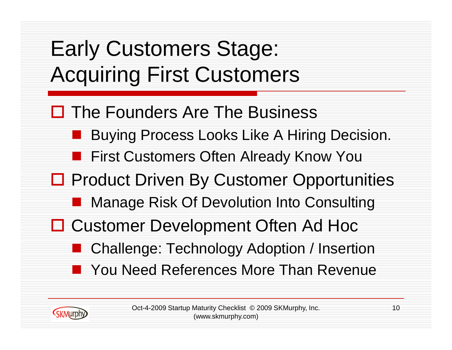### Early Customers Stage: Acquiring First Customers

**(SKMurph** 

- $\Box$  The Founders Are The Business
	- Buying Process Looks Like A Hiring Decision.
	- First Customers Often Already Know You
- **□ Product Driven By Customer Opportunities** 
	- Manage Risk Of Devolution Into Consulting
- □ Customer Development Often Ad Hoc
	- Challenge: Technology Adoption / Insertion
	- You Need References More Than Revenue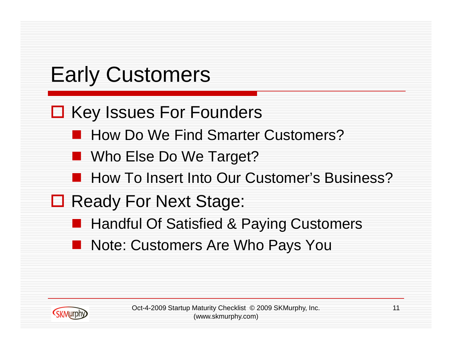## Early Customers

- **□ Key Issues For Founders** 
	- How Do We Find Smarter Customers?
	- Who Else Do We Target?
	- How To Insert Into Our Customer's Business?
- **□ Ready For Next Stage:** 
	- Handful Of Satisfied & Paying Customers
	- Note: Customers Are Who Pays You



Oct-4-2009 Startup Maturity Checklist © 2009 SKMurphy, Inc. 11 (www.skmurphy.com)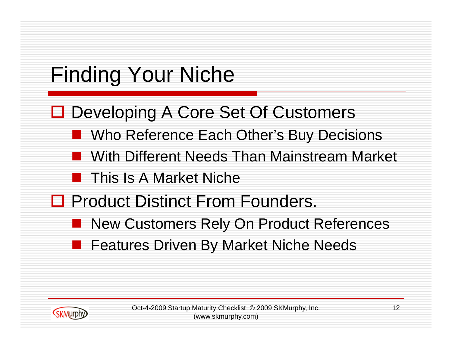## Finding Your Niche

- **□ Developing A Core Set Of Customers** 
	- Who Reference Each Other's Buy Decisions
	- With Different Needs Than Mainstream Market
	- This Is A Market Niche
- □ Product Distinct From Founders.
	- New Customers Rely On Product References
	- Features Driven By Market Niche Needs

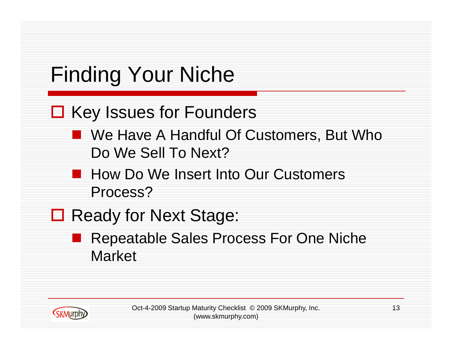

Oct-4-2009 Startup Maturity Checklist © 2009 SKMurphy, Inc. 13 (www.skmurphy.com)

**SKMurph**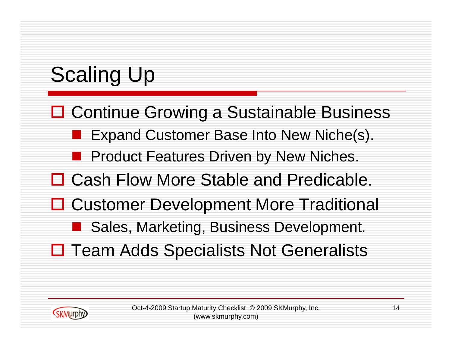## Scaling Up

- **□ Continue Growing a Sustainable Business** 
	- Expand Customer Base Into New Niche(s).
	- Product Features Driven by New Niches.
- □ Cash Flow More Stable and Predicable.
- **□ Customer Development More Traditional** 
	- Sales, Marketing, Business Development.
- $\Box$  Team Adds Specialists Not Generalists

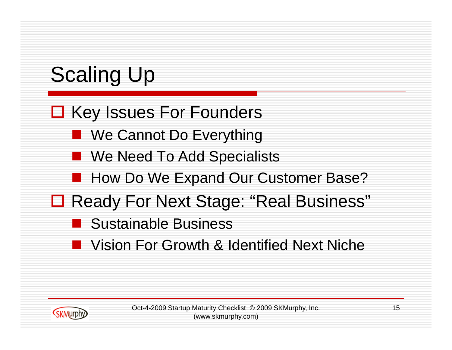## Scaling Up

#### □ Key Issues For Founders

- We Cannot Do Everything
- We Need To Add Specialists
- How Do We Expand Our Customer Base?
- □ Ready For Next Stage: "Real Business"
	- Sustainable Business
	- Vision For Growth & Identified Next Niche



Oct-4-2009 Startup Maturity Checklist © 2009 SKMurphy, Inc. 15 (www.skmurphy.com)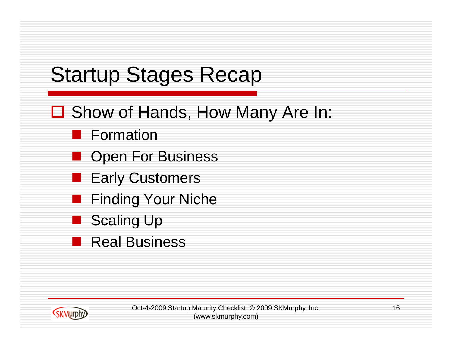## Startup Stages Recap

- □ Show of Hands, How Many Are In:
	- Formation
	- Open For Business
	- Early Customers
	- Finding Your Niche
	- Scaling Up
	- Real Business



Oct-4-2009 Startup Maturity Checklist © 2009 SKMurphy, Inc. 16 (www.skmurphy.com)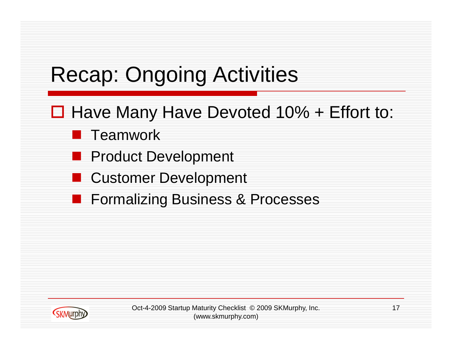#### Recap: Ongoing Activities

- $\Box$  Have Many Have Devoted 10% + Effort to:
	- **Teamwork**
	- Product Development
	- Customer Development
	- Formalizing Business & Processes



Oct-4-2009 Startup Maturity Checklist © 2009 SKMurphy, Inc. 17 (www.skmurphy.com)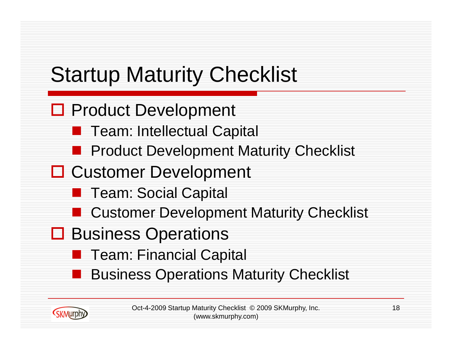## Startup Maturity Checklist

- **□ Product Development** 
	- Team: Intellectual Capital
	- **Product Development Maturity Checklist**
- **□ Customer Development** 
	- Team: Social Capital
	- Customer Development Maturity Checklist
- **□ Business Operations**

**SKMurph** 

- Team: Financial Capital
- Business Operations Maturity Checklist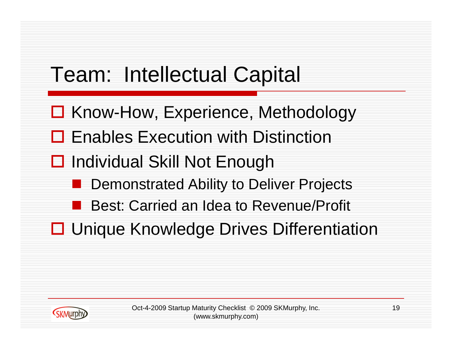## Team: Intellectual Capital

- **□ Know-How, Experience, Methodology**
- **□ Enables Execution with Distinction**
- **□** Individual Skill Not Enough
	- Demonstrated Ability to Deliver Projects
	- Best: Carried an Idea to Revenue/Profit
- **□ Unique Knowledge Drives Differentiation**

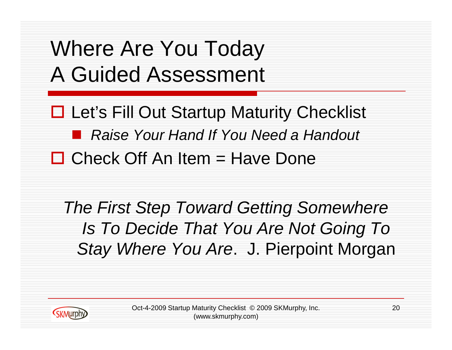### Where Are You Today A Guided Assessment

**□ Let's Fill Out Startup Maturity Checklist**  *Raise Your Hand If You Need a Handout*  $\Box$  Check Off An Item = Have Done

*The First Step Toward Getting Somewhere Is To Decide That You Are Not Going To Stay Where You Are*. J. Pierpoint Morgan



Oct-4-2009 Startup Maturity Checklist © 2009 SKMurphy, Inc. 20 (www.skmurphy.com)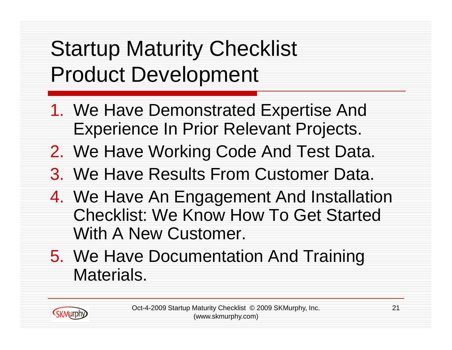#### Startup Maturity Checklist Product Development

- 1. We Have Demonstrated Expertise And Experience In Prior Relevant Projects.
- 2. We Have Working Code And Test Data.
- 3. We Have Results From Customer Data.
- 4. We Have An Engagement And Installation Checklist: We Know How To Get Started With A New Customer.
- 5. We Have Documentation And Training Materials.

**SKMurphy** 

Oct-4-2009 Startup Maturity Checklist © 2009 SKMurphy, Inc. 21 (www.skmurphy.com)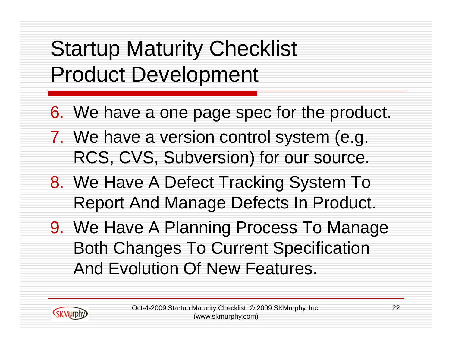#### Startup Maturity Checklist Product Development

- 6. We have a one page spec for the product.
- 7. We have a version control system (e.g. RCS, CVS, Subversion) for our source.
- 8. We Have A Defect Tracking System To Report And Manage Defects In Product.
- 9. We Have A Planning Process To Manage Both Changes To Current Specification And Evolution Of New Features.

**KKMurph**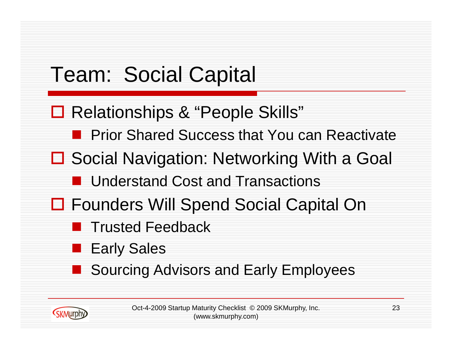## Team: Social Capital

- **□ Relationships & "People Skills"** 
	- Prior Shared Success that You can Reactivate
- **□ Social Navigation: Networking With a Goal** 
	- Understand Cost and Transactions
- □ Founders Will Spend Social Capital On
	- Trusted Feedback
	- Early Sales

**K**KMurph

Sourcing Advisors and Early Employees

Oct-4-2009 Startup Maturity Checklist © 2009 SKMurphy, Inc. 23 (www.skmurphy.com)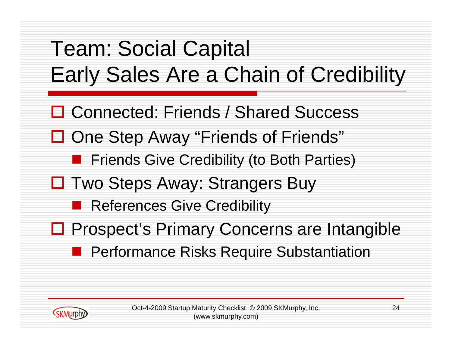



Oct-4-2009 Startup Maturity Checklist © 2009 SKMurphy, Inc. 24 (www.skmurphy.com)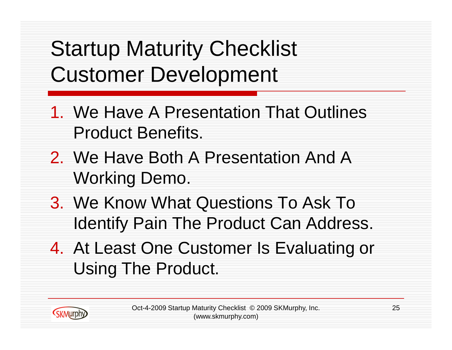- 1. We Have A Presentation That Outlines Product Benefits.
- 2. We Have Both A Presentation And A Working Demo.
- 3. We Know What Questions To Ask To Identify Pain The Product Can Address.
- 4. At Least One Customer Is Evaluating or Using The Product.

**SKMurphy**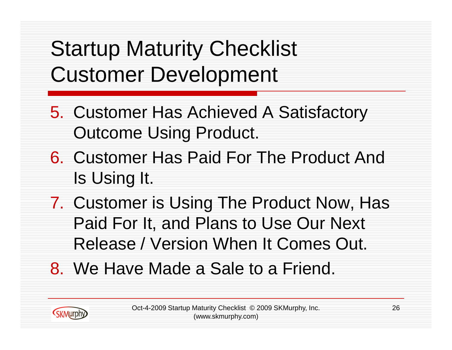- 5. Customer Has Achieved A Satisfactory Outcome Using Product.
- 6. Customer Has Paid For The Product And Is Using It.
- 7. Customer is Using The Product Now, Has Paid For It, and Plans to Use Our Next Release / Version When It Comes Out.
- 8. We Have Made a Sale to a Friend.

**SKMurph**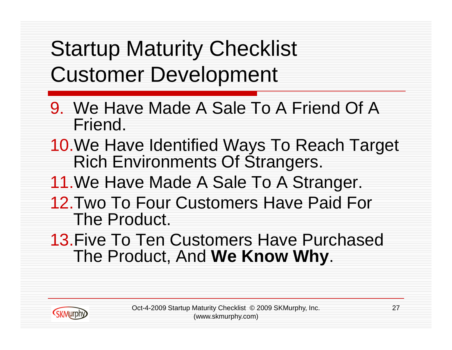**SKMurphy** 

- 9. We Have Made A Sale To A Friend Of A Friend.
- 10.We Have Identified Ways To Reach Target Rich Environments Of Strangers.
- 11.We Have Made A Sale To A Stranger.
- 12.Two To Four Customers Have Paid For The Product.
- 13.Five To Ten Customers Have Purchased The Product, And **We Know Why**.

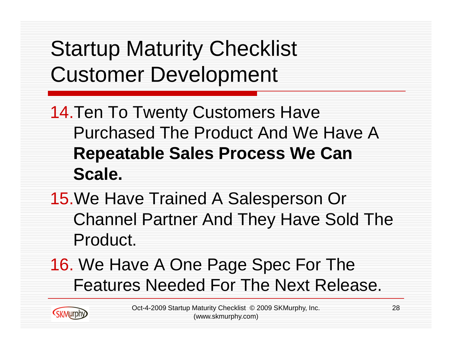- 14.Ten To Twenty Customers Have Purchased The Product And We Have A **Repeatable Sales Process We Can Scale.**
- 15.We Have Trained A Salesperson Or Channel Partner And They Have Sold The Product.
- 16. We Have A One Page Spec For The Features Needed For The Next Release.

**SKMurphy**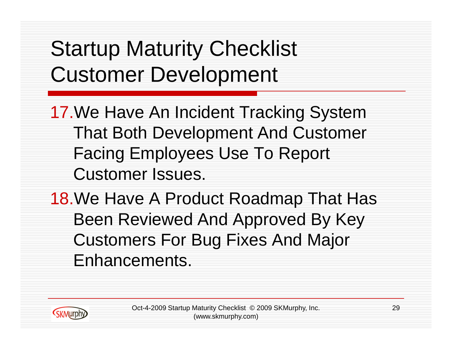17.We Have An Incident Tracking System That Both Development And Customer Facing Employees Use To Report Customer Issues.

18.We Have A Product Roadmap That Has Been Reviewed And Approved By Key Customers For Bug Fixes And Major Enhancements.



**K**KMurph

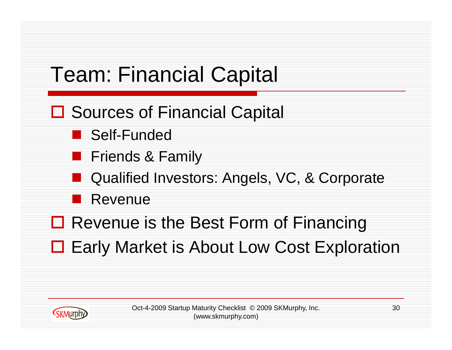### Team: Financial Capital

- **□ Sources of Financial Capital** 
	- Self-Funded
	- Friends & Family
	- Qualified Investors: Angels, VC, & Corporate
	- Revenue
- **□ Revenue is the Best Form of Financing**
- **□ Early Market is About Low Cost Exploration**



Oct-4-2009 Startup Maturity Checklist © 2009 SKMurphy, Inc. 30 (www.skmurphy.com)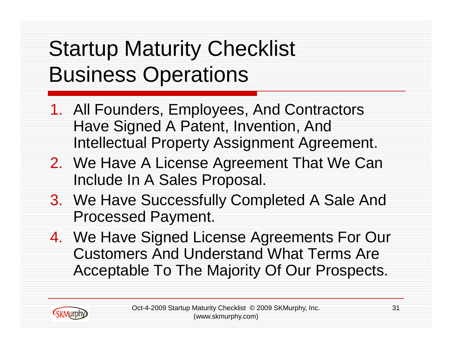### Startup Maturity Checklist Business Operations

**SKMurphy** 

- 1. All Founders, Employees, And Contractors Have Signed A Patent, Invention, And Intellectual Property Assignment Agreement.
- 2. We Have A License Agreement That We Can Include In A Sales Proposal.
- 3. We Have Successfully Completed A Sale And Processed Payment.
- 4. We Have Signed License Agreements For Our Customers And Understand What Terms Are Acceptable To The Majority Of Our Prospects.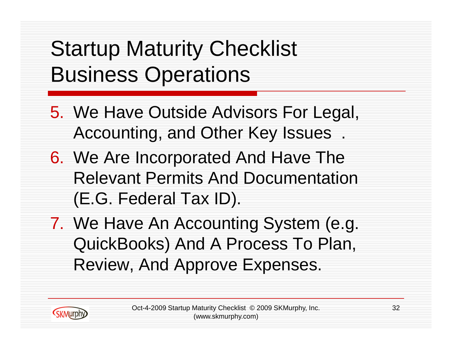### Startup Maturity Checklist Business Operations

- 5. We Have Outside Advisors For Legal, Accounting, and Other Key Issues .
- 6. We Are Incorporated And Have The Relevant Permits And Documentation (E.G. Federal Tax ID).
- 7. We Have An Accounting System (e.g. QuickBooks) And A Process To Plan, Review, And Approve Expenses.

**CKMurph**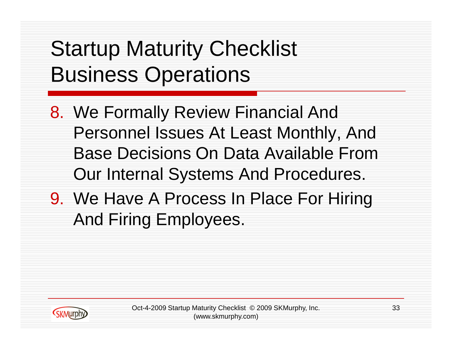### Startup Maturity Checklist Business Operations

8. We Formally Review Financial And Personnel Issues At Least Monthly, And Base Decisions On Data Available From Our Internal Systems And Procedures.

9. We Have A Process In Place For Hiring And Firing Employees.



Oct-4-2009 Startup Maturity Checklist © 2009 SKMurphy, Inc. 33 (www.skmurphy.com)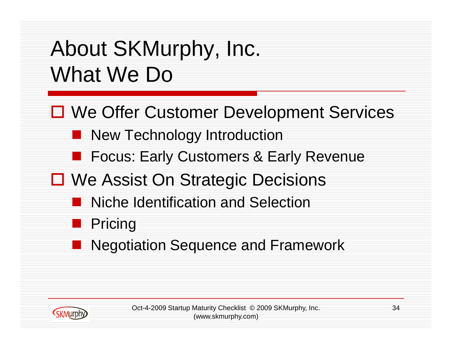### About SKMurphy, Inc. What We Do

- **□ We Offer Customer Development Services** 
	- New Technology Introduction
	- Focus: Early Customers & Early Revenue
- **□ We Assist On Strategic Decisions** 
	- Niche Identification and Selection
	- Pricing
	- Negotiation Sequence and Framework



Oct-4-2009 Startup Maturity Checklist © 2009 SKMurphy, Inc. (www.skmurphy.com)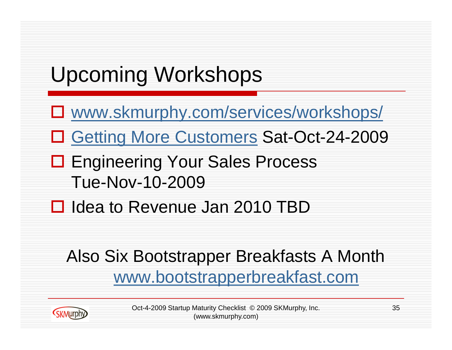# Upcoming Workshops

- www.skmurphy.com/services/workshops/
- □ Getting More Customers Sat-Oct-24-2009
- **□ Engineering Your Sales Process** Tue-Nov-10-2009
- □ Idea to Revenue Jan 2010 TBD

**SKMurphy** 

#### Also Six Bootstrapper Breakfasts A Month www.bootstrapperbreakfast.com

Oct-4-2009 Startup Maturity Checklist © 2009 SKMurphy, Inc. 35 (www.skmurphy.com)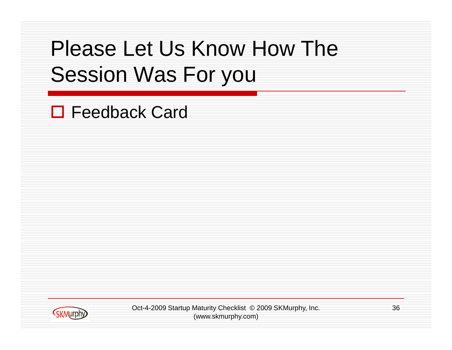#### Please Let Us Know How The Session Was For you

□ Feedback Card



Oct-4-2009 Startup Maturity Checklist © 2009 SKMurphy, Inc. 36 (www.skmurphy.com)